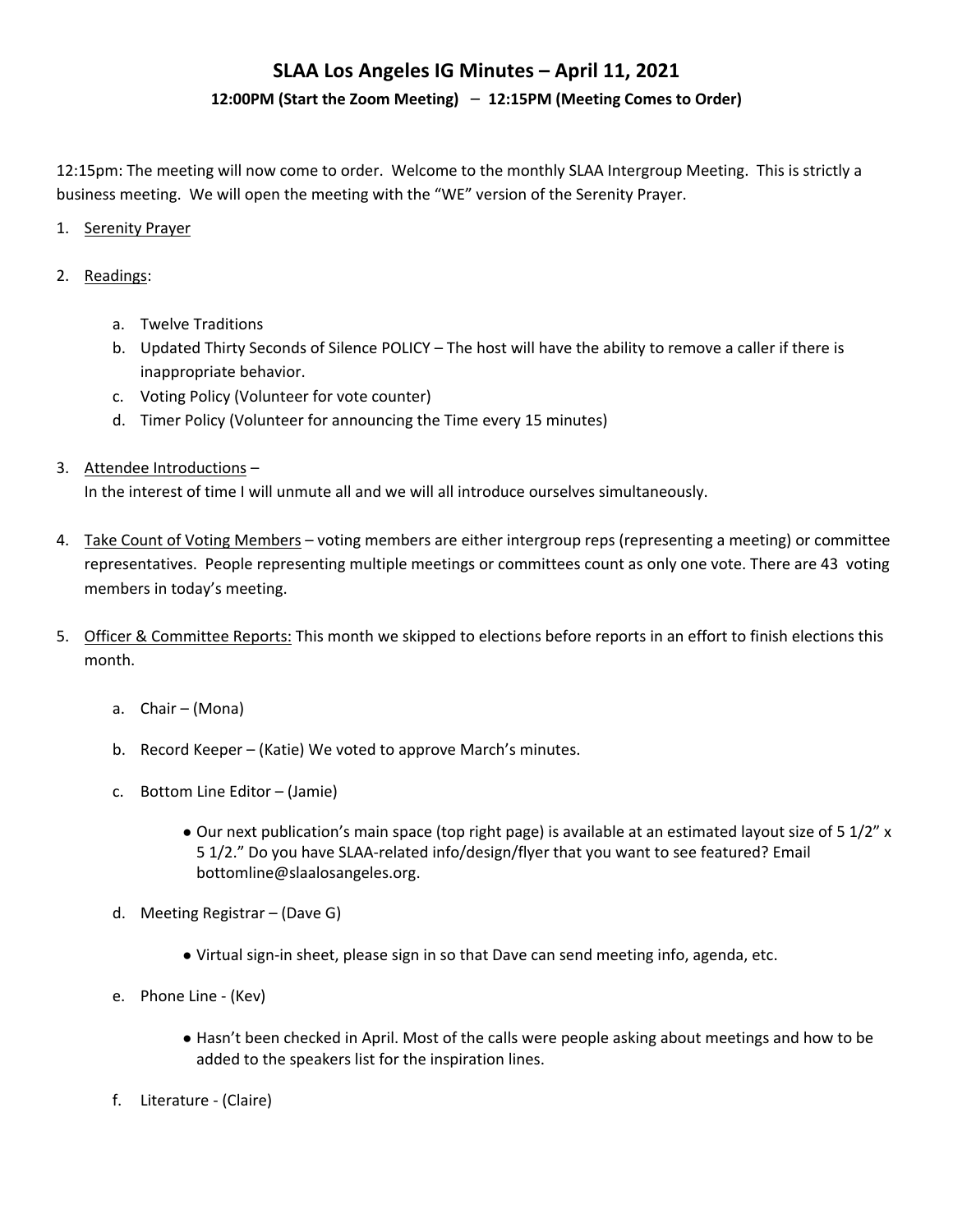#### **12:00PM (Start the Zoom Meeting)** – **12:15PM (Meeting Comes to Order)**

12:15pm: The meeting will now come to order. Welcome to the monthly SLAA Intergroup Meeting. This is strictly a business meeting. We will open the meeting with the "WE" version of the Serenity Prayer.

#### 1. Serenity Prayer

#### 2. Readings:

- a. Twelve Traditions
- b. Updated Thirty Seconds of Silence POLICY The host will have the ability to remove a caller if there is inappropriate behavior.
- c. Voting Policy (Volunteer for vote counter)
- d. Timer Policy (Volunteer for announcing the Time every 15 minutes)
- 3. Attendee Introductions –

In the interest of time I will unmute all and we will all introduce ourselves simultaneously.

- 4. Take Count of Voting Members voting members are either intergroup reps (representing a meeting) or committee representatives. People representing multiple meetings or committees count as only one vote. There are 43 voting members in today's meeting.
- 5. Officer & Committee Reports: This month we skipped to elections before reports in an effort to finish elections this month.
	- a. Chair (Mona)
	- b. Record Keeper (Katie) We voted to approve March's minutes.
	- c. Bottom Line Editor (Jamie)
		- Our next publication's main space (top right page) is available at an estimated layout size of 5 1/2" x 5 1/2." Do you have SLAA-related info/design/flyer that you want to see featured? Email bottomline@slaalosangeles.org.
	- d. Meeting Registrar (Dave G)
		- Virtual sign-in sheet, please sign in so that Dave can send meeting info, agenda, etc.
	- e. Phone Line (Kev)
		- Hasn't been checked in April. Most of the calls were people asking about meetings and how to be added to the speakers list for the inspiration lines.
	- f. Literature (Claire)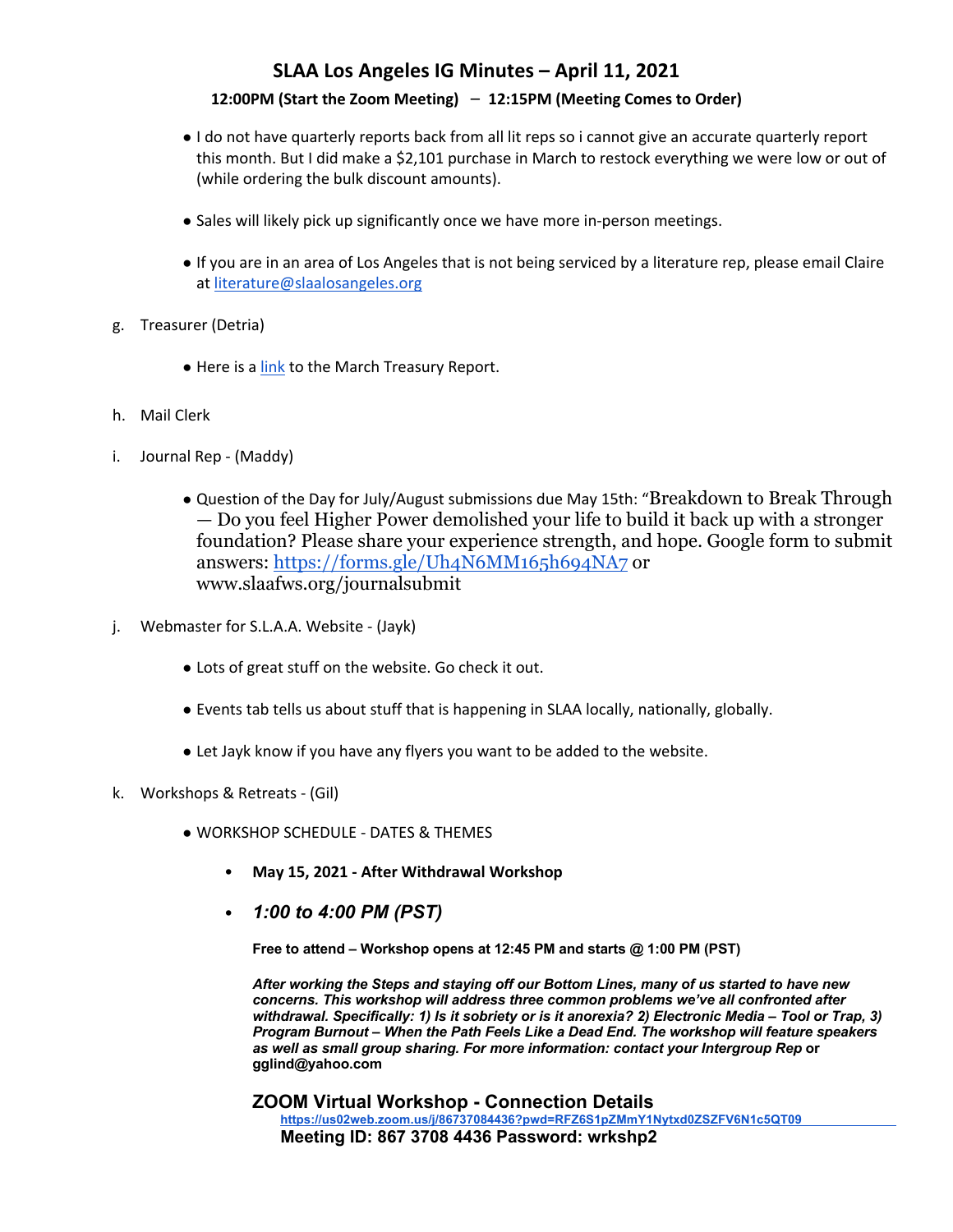### **12:00PM (Start the Zoom Meeting)** – **12:15PM (Meeting Comes to Order)**

- I do not have quarterly reports back from all lit reps so i cannot give an accurate quarterly report this month. But I did make a \$2,101 purchase in March to restock everything we were low or out of (while ordering the bulk discount amounts).
- Sales will likely pick up significantly once we have more in-person meetings.
- If you are in an area of Los Angeles that is not being serviced by a literature rep, please email Claire at literature@slaalosangeles.org
- g. Treasurer (Detria)
	- Here is a link to the March Treasury Report.
- h. Mail Clerk
- i. Journal Rep (Maddy)
	- Question of the Day for July/August submissions due May 15th: "Breakdown to Break Through — Do you feel Higher Power demolished your life to build it back up with a stronger foundation? Please share your experience strength, and hope. Google form to submit answers: https://forms.gle/Uh4N6MM165h694NA7 or www.slaafws.org/journalsubmit
- j. Webmaster for S.L.A.A. Website (Jayk)
	- Lots of great stuff on the website. Go check it out.
	- Events tab tells us about stuff that is happening in SLAA locally, nationally, globally.
	- Let Jayk know if you have any flyers you want to be added to the website.
- k. Workshops & Retreats (Gil)
	- WORKSHOP SCHEDULE DATES & THEMES
		- **May 15, 2021 - After Withdrawal Workshop**
		- *1:00 to 4:00 PM (PST)*

**Free to attend – Workshop opens at 12:45 PM and starts @ 1:00 PM (PST)** 

*After working the Steps and staying off our Bottom Lines, many of us started to have new concerns. This workshop will address three common problems we've all confronted after withdrawal. Specifically: 1) Is it sobriety or is it anorexia? 2) Electronic Media – Tool or Trap, 3) Program Burnout – When the Path Feels Like a Dead End. The workshop will feature speakers as well as small group sharing. For more information: contact your Intergroup Rep* **or gglind@yahoo.com** 

**ZOOM Virtual Workshop - Connection Details https://us02web.zoom.us/j/86737084436?pwd=RFZ6S1pZMmY1Nytxd0ZSZFV6N1c5QT09 Meeting ID: 867 3708 4436 Password: wrkshp2**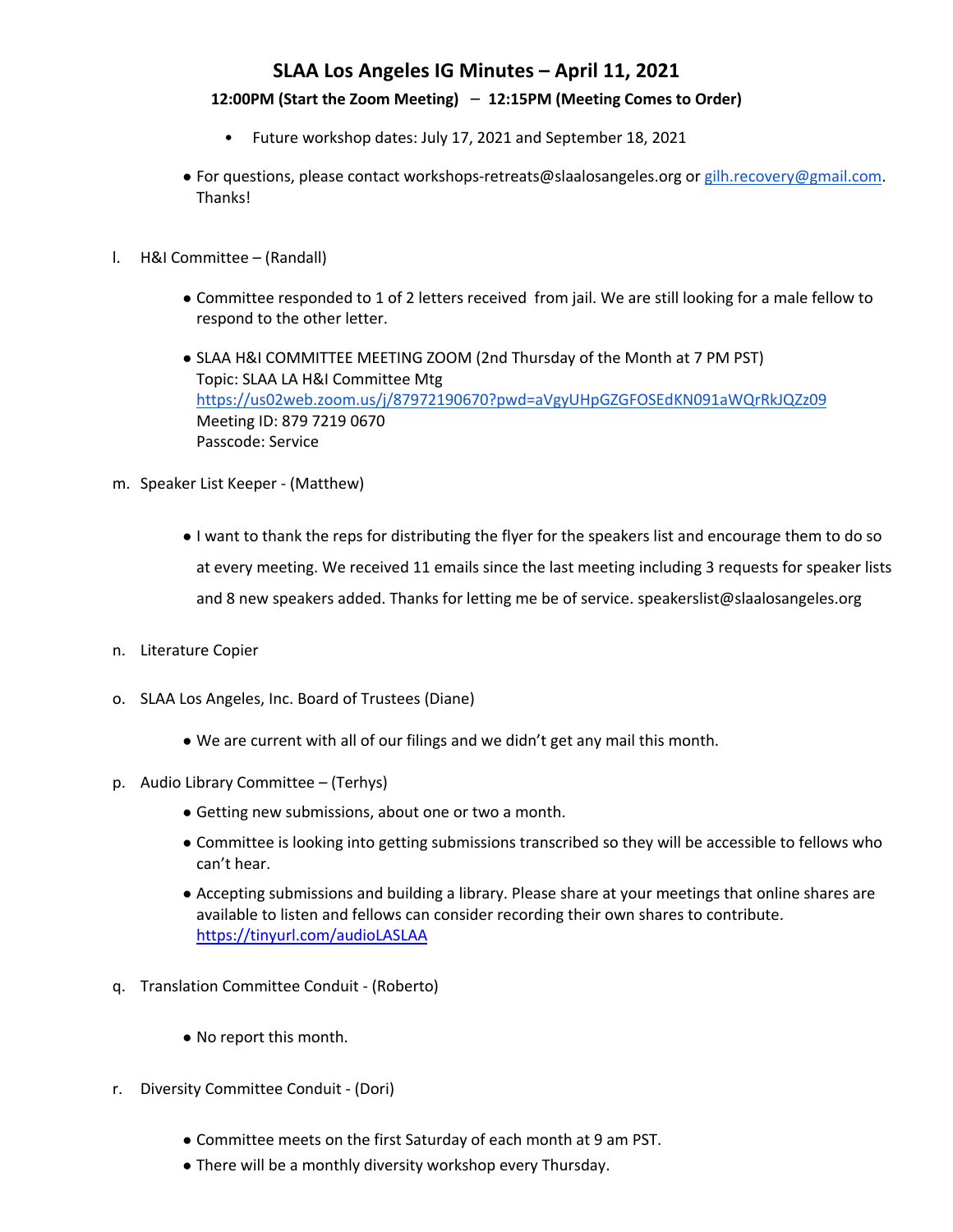### **12:00PM (Start the Zoom Meeting)** – **12:15PM (Meeting Comes to Order)**

- Future workshop dates: July 17, 2021 and September 18, 2021
- For questions, please contact workshops-retreats@slaalosangeles.org or gilh.recovery@gmail.com. Thanks!
- l. H&I Committee (Randall)
	- Committee responded to 1 of 2 letters received from jail. We are still looking for a male fellow to respond to the other letter.
	- SLAA H&I COMMITTEE MEETING ZOOM (2nd Thursday of the Month at 7 PM PST) Topic: SLAA LA H&I Committee Mtg https://us02web.zoom.us/j/87972190670?pwd=aVgyUHpGZGFOSEdKN091aWQrRkJQZz09 Meeting ID: 879 7219 0670 Passcode: Service
- m. Speaker List Keeper (Matthew)
	- I want to thank the reps for distributing the flyer for the speakers list and encourage them to do so at every meeting. We received 11 emails since the last meeting including 3 requests for speaker lists and 8 new speakers added. Thanks for letting me be of service. speakerslist@slaalosangeles.org
- n. Literature Copier
- o. SLAA Los Angeles, Inc. Board of Trustees (Diane)
	- We are current with all of our filings and we didn't get any mail this month.
- p. Audio Library Committee (Terhys)
	- Getting new submissions, about one or two a month.
	- Committee is looking into getting submissions transcribed so they will be accessible to fellows who can't hear.
	- Accepting submissions and building a library. Please share at your meetings that online shares are available to listen and fellows can consider recording their own shares to contribute. https://tinyurl.com/audioLASLAA
- q. Translation Committee Conduit (Roberto)
	- No report this month.
- r. Diversity Committee Conduit (Dori)
	- Committee meets on the first Saturday of each month at 9 am PST.
	- There will be a monthly diversity workshop every Thursday.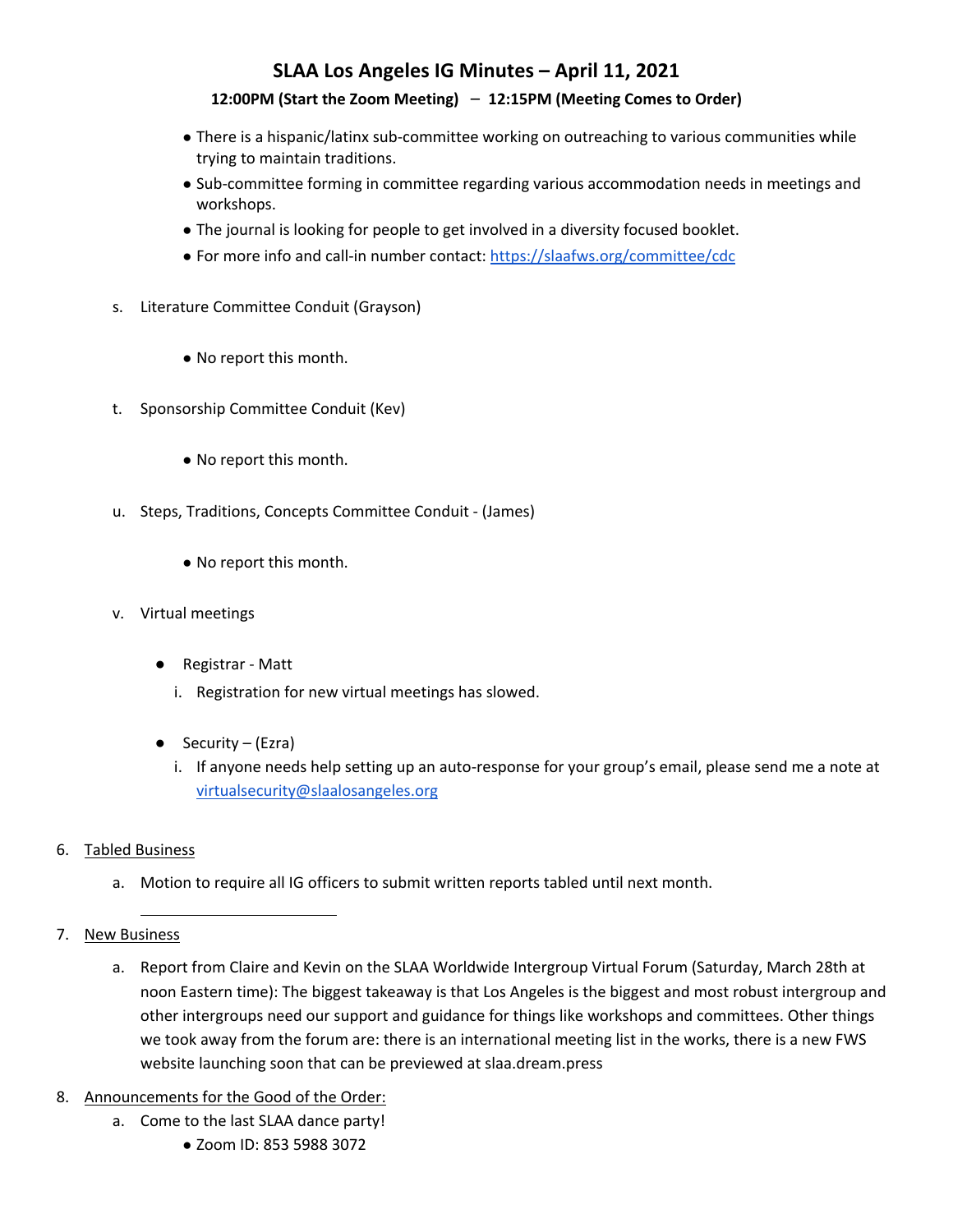### **12:00PM (Start the Zoom Meeting)** – **12:15PM (Meeting Comes to Order)**

- There is a hispanic/latinx sub-committee working on outreaching to various communities while trying to maintain traditions.
- Sub-committee forming in committee regarding various accommodation needs in meetings and workshops.
- The journal is looking for people to get involved in a diversity focused booklet.
- For more info and call-in number contact: https://slaafws.org/committee/cdc
- s. Literature Committee Conduit (Grayson)
	- No report this month.
- t. Sponsorship Committee Conduit (Kev)
	- No report this month.
- u. Steps, Traditions, Concepts Committee Conduit (James)
	- No report this month.
- v. Virtual meetings
	- Registrar Matt
		- i. Registration for new virtual meetings has slowed.
	- Security (Ezra)
		- i. If anyone needs help setting up an auto-response for your group's email, please send me a note at virtualsecurity@slaalosangeles.org
- 6. Tabled Business
	- a. Motion to require all IG officers to submit written reports tabled until next month.
- 7. New Business
	- a. Report from Claire and Kevin on the SLAA Worldwide Intergroup Virtual Forum (Saturday, March 28th at noon Eastern time): The biggest takeaway is that Los Angeles is the biggest and most robust intergroup and other intergroups need our support and guidance for things like workshops and committees. Other things we took away from the forum are: there is an international meeting list in the works, there is a new FWS website launching soon that can be previewed at slaa.dream.press
- 8. Announcements for the Good of the Order:
	- a. Come to the last SLAA dance party!
		- Zoom ID: 853 5988 3072